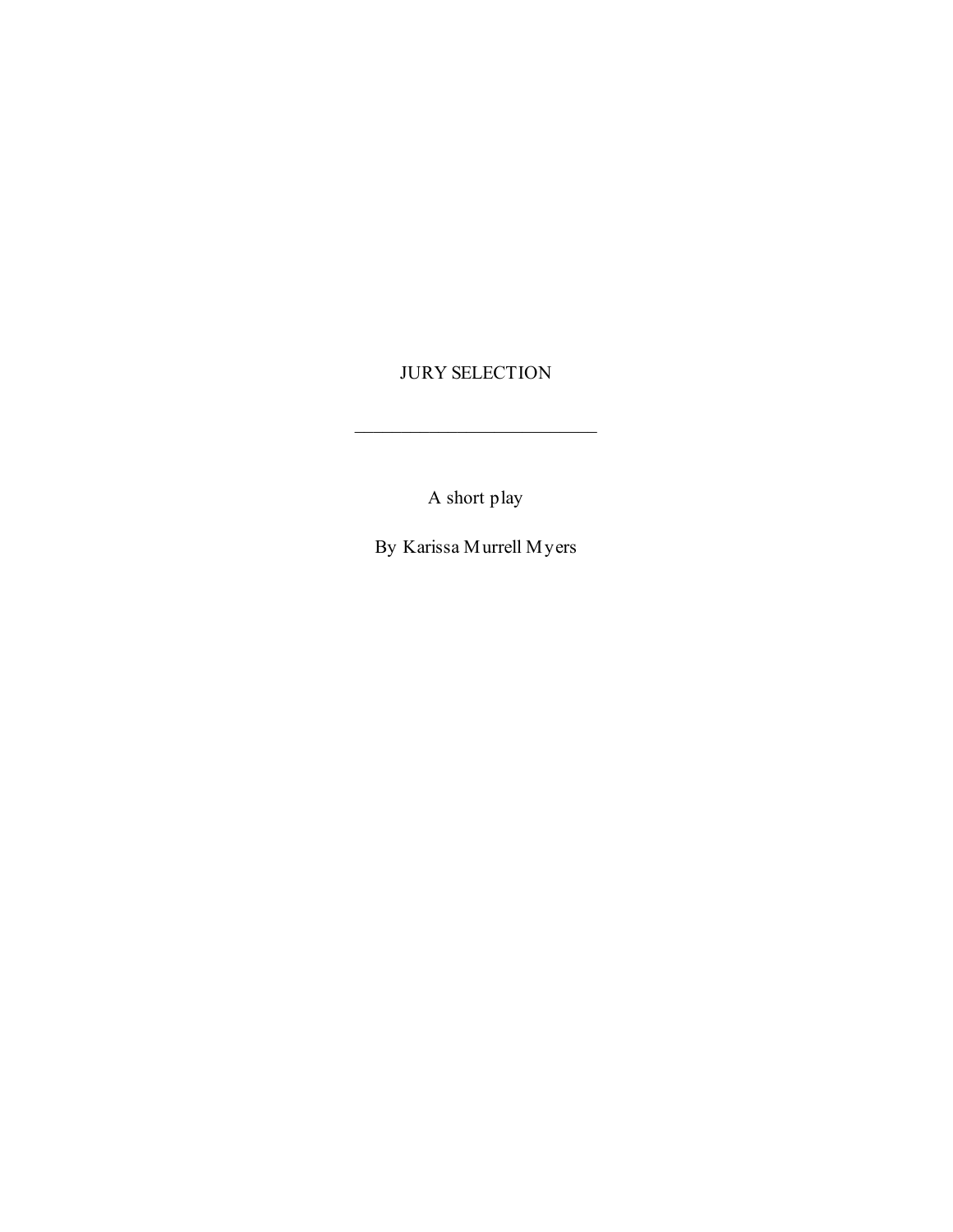# JURY SELECTION

A short play

By Karissa Murrell Myers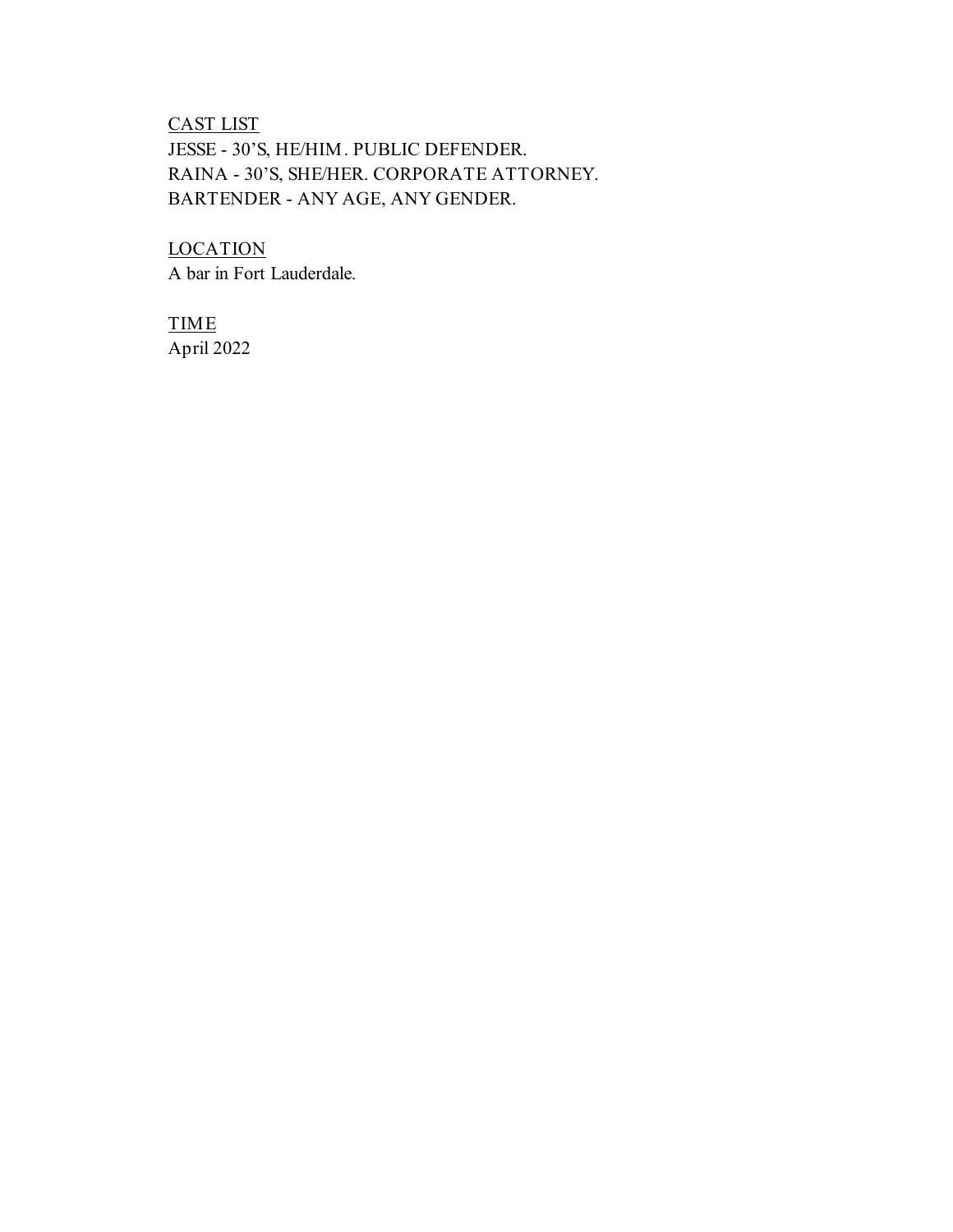# CAST LIST JESSE - 30'S, HE/HIM. PUBLIC DEFENDER. RAINA - 30'S, SHE/HER. CORPORATE ATTORNEY. BARTENDER - ANY AGE, ANY GENDER.

**LOCATION** A bar in Fort Lauderdale.

TIME April 2022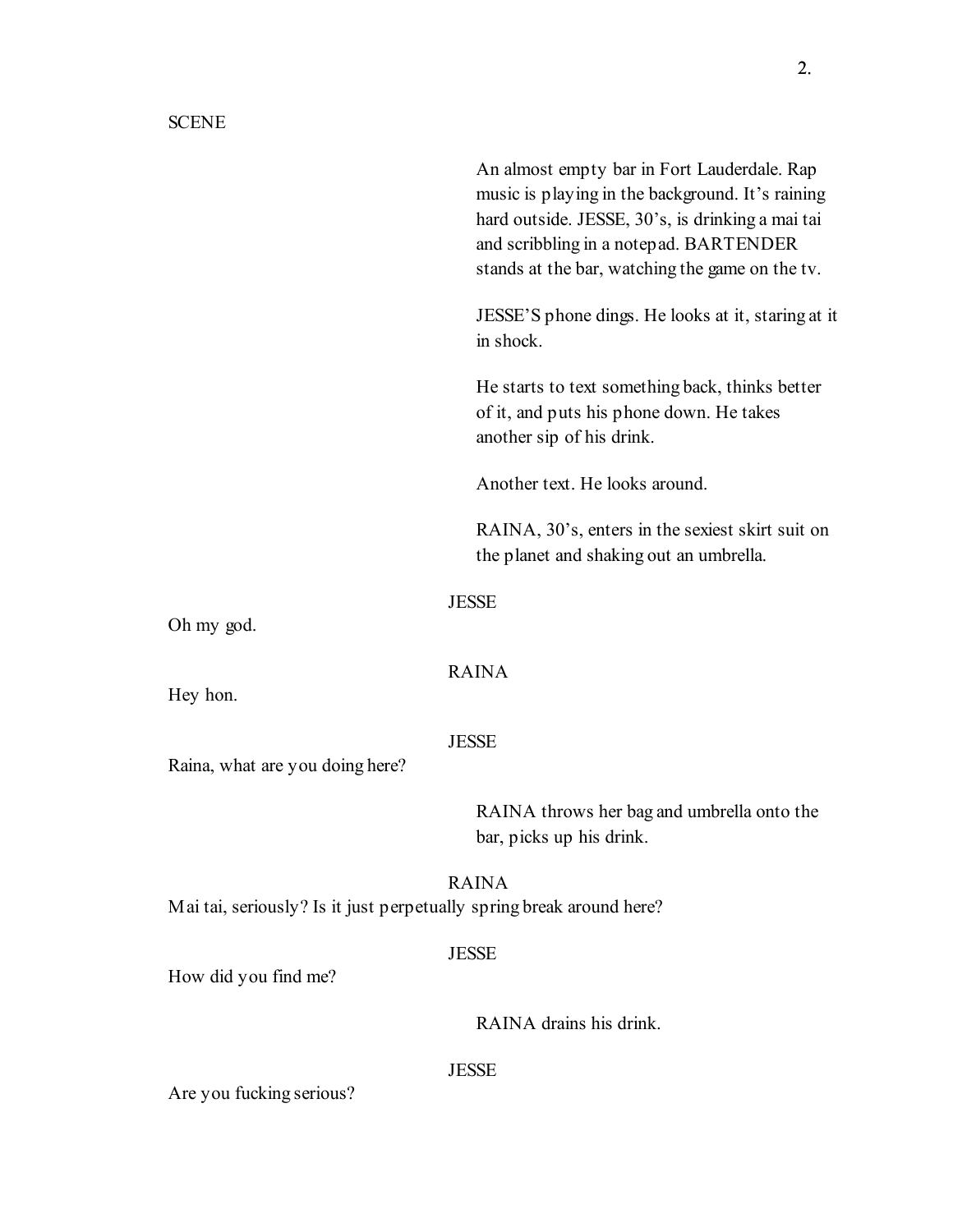An almost empty bar in Fort Lauderdale. Rap music is playing in the background. It's raining hard outside. JESSE, 30's, is drinking a mai tai and scribbling in a notepad. BARTENDER stands at the bar, watching the game on the tv.

JESSE'S phone dings. He looks at it, staring at it in shock.

He starts to text something back, thinks better of it, and puts his phone down. He takes another sip of his drink.

Another text. He looks around.

RAINA, 30's, enters in the sexiest skirt suit on the planet and shaking out an umbrella.

### **JESSE**

Oh my god.

## RAINA

Hey hon.

#### JESSE

Raina, what are you doing here?

RAINA throws her bag and umbrella onto the bar, picks up his drink.

RAINA Mai tai, seriously? Is it just perpetually spring break around here?

### **JESSE**

How did you find me?

RAINA drains his drink.

## **JESSE**

Are you fucking serious?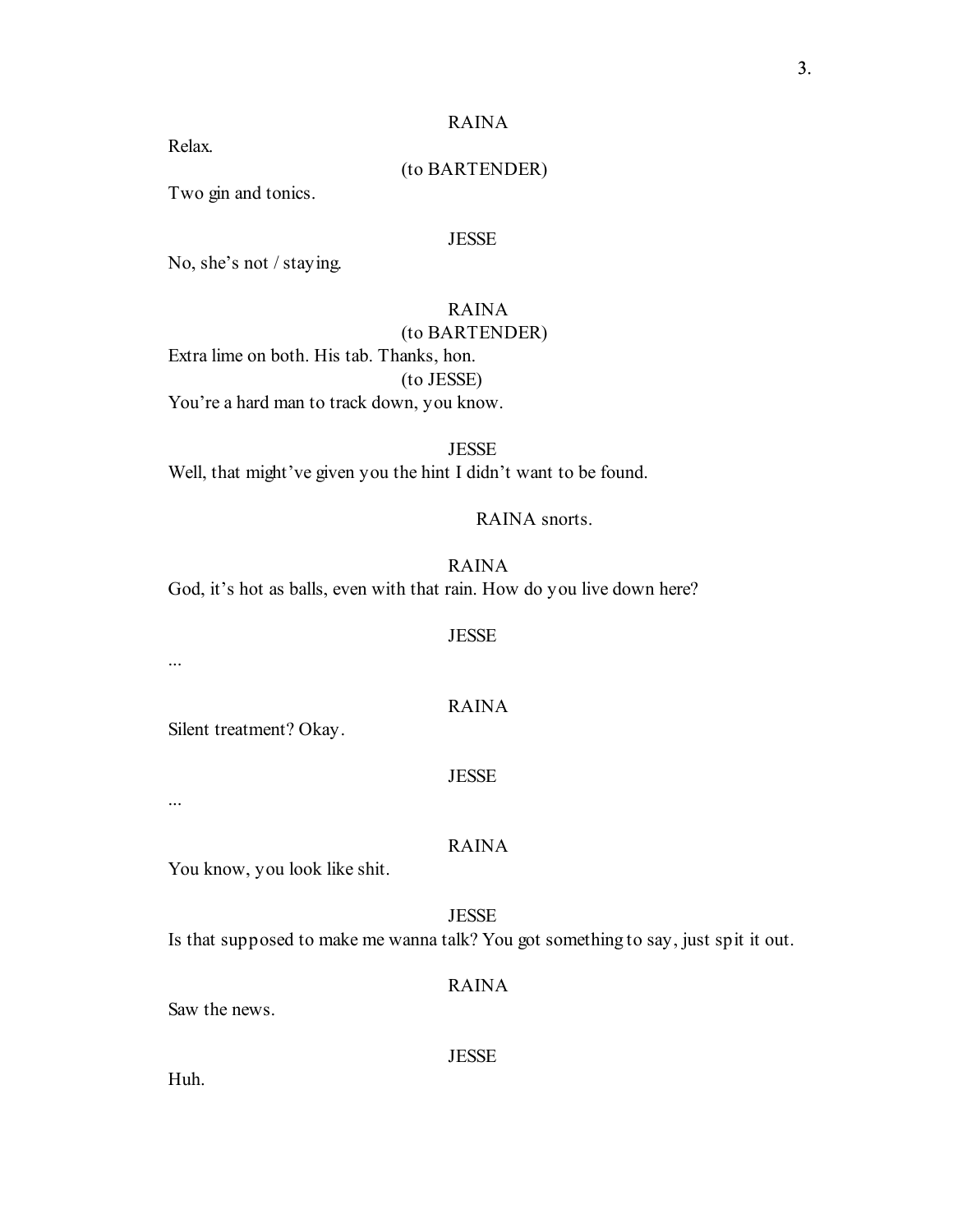Relax.

## (to BARTENDER)

Two gin and tonics.

### JESSE

No, she's not / staying.

# RAINA

## (to BARTENDER)

Extra lime on both. His tab. Thanks, hon. (to JESSE) You're a hard man to track down, you know.

### **JESSE**

Well, that might've given you the hint I didn't want to be found.

RAINA snorts.

RAINA

God, it's hot as balls, even with that rain. How do you live down here?

### **JESSE**

RAINA

...

Silent treatment? Okay.

#### JESSE

...

#### RAINA

You know, you look like shit.

### **JESSE**

Is that supposed to make me wanna talk? You got something to say, just spit it out.

#### RAINA

Saw the news.

**JESSE** 

Huh.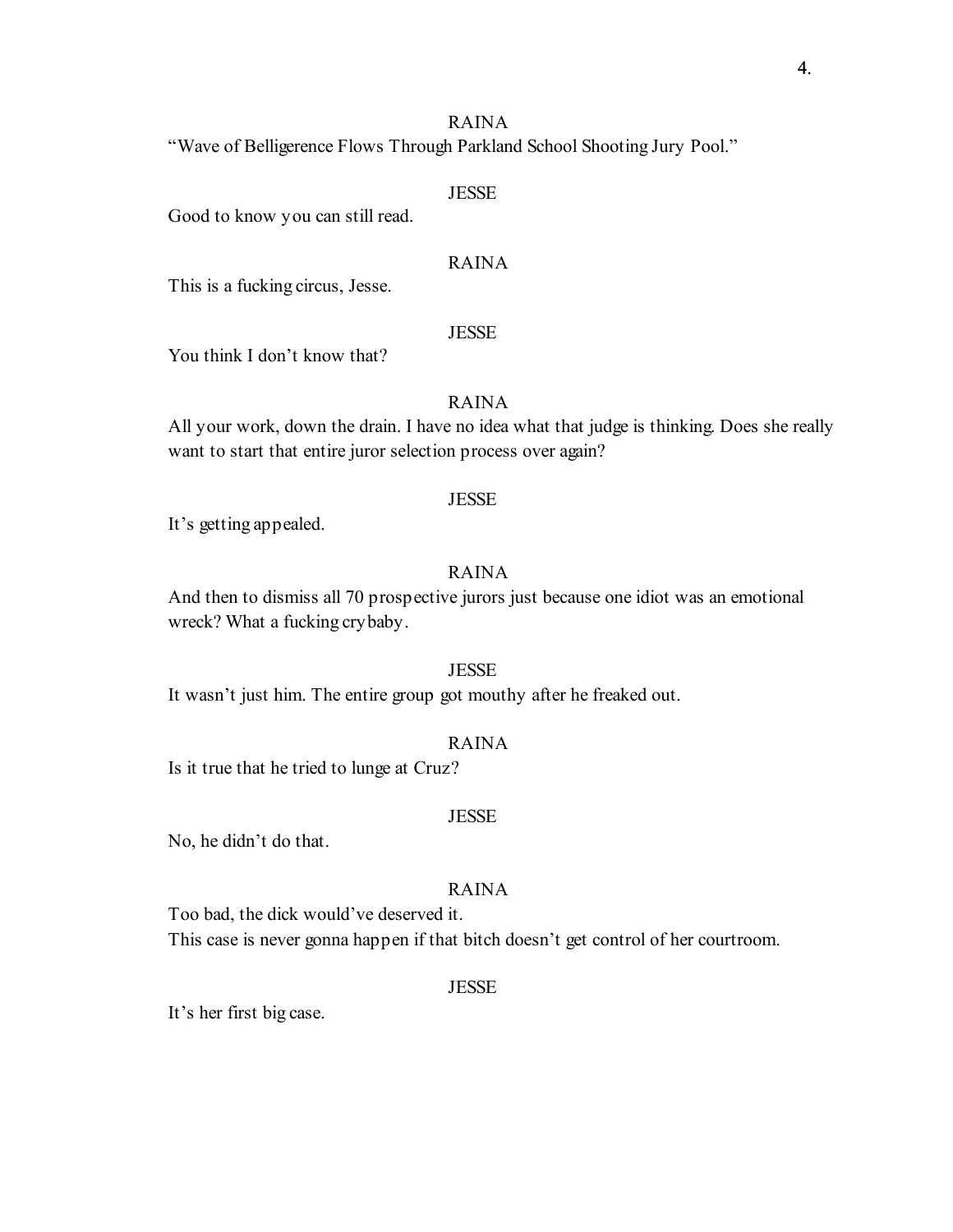"Wave of Belligerence Flows Through Parkland School Shooting Jury Pool."

### **JESSE**

Good to know you can still read.

### RAINA

This is a fucking circus, Jesse.

### **JESSE**

You think I don't know that?

## RAINA

All your work, down the drain. I have no idea what that judge is thinking. Does she really want to start that entire juror selection process over again?

## **JESSE**

It's getting appealed.

## RAINA

And then to dismiss all 70 prospective jurors just because one idiot was an emotional wreck? What a fucking crybaby.

## JESSE

It wasn't just him. The entire group got mouthy after he freaked out.

## RAINA

Is it true that he tried to lunge at Cruz?

#### **JESSE**

No, he didn't do that.

## RAINA

Too bad, the dick would've deserved it.

This case is never gonna happen if that bitch doesn't get control of her courtroom.

#### JESSE

It's her first big case.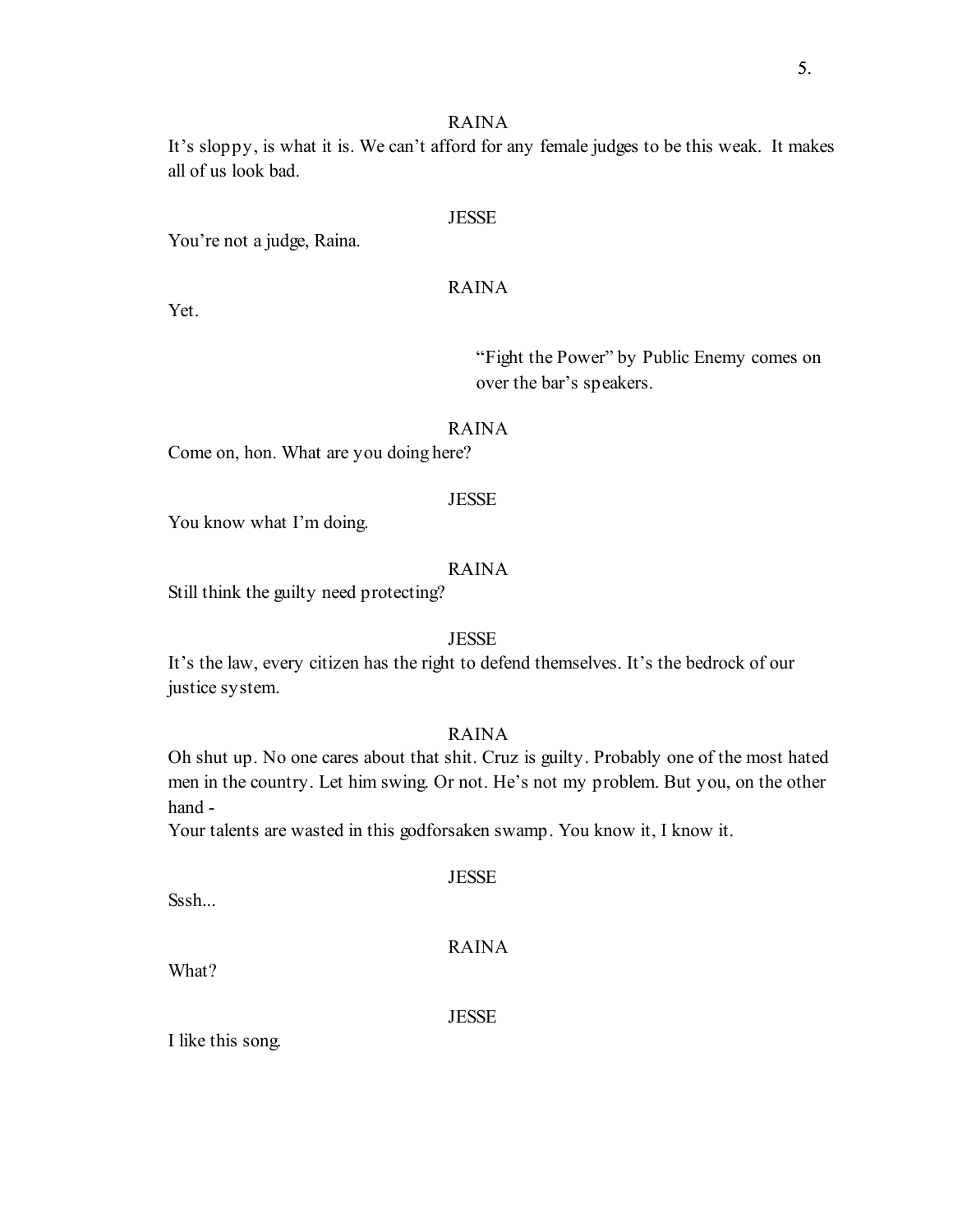It's sloppy, is what it is. We can't afford for any female judges to be this weak. It makes all of us look bad.

### JESSE

You're not a judge, Raina.

## RAINA

Yet.

"Fight the Power" by Public Enemy comes on over the bar's speakers.

### RAINA

Come on, hon. What are you doing here?

## **JESSE**

You know what I'm doing.

## RAINA

Still think the guilty need protecting?

## **JESSE**

It's the law, every citizen has the right to defend themselves. It's the bedrock of our justice system.

### RAINA

Oh shut up. No one cares about that shit. Cruz is guilty. Probably one of the most hated men in the country. Let him swing. Or not. He's not my problem. But you, on the other hand -

Your talents are wasted in this godforsaken swamp. You know it, I know it.

Sssh...

RAINA

**JESSE** 

What?

JESSE

I like this song.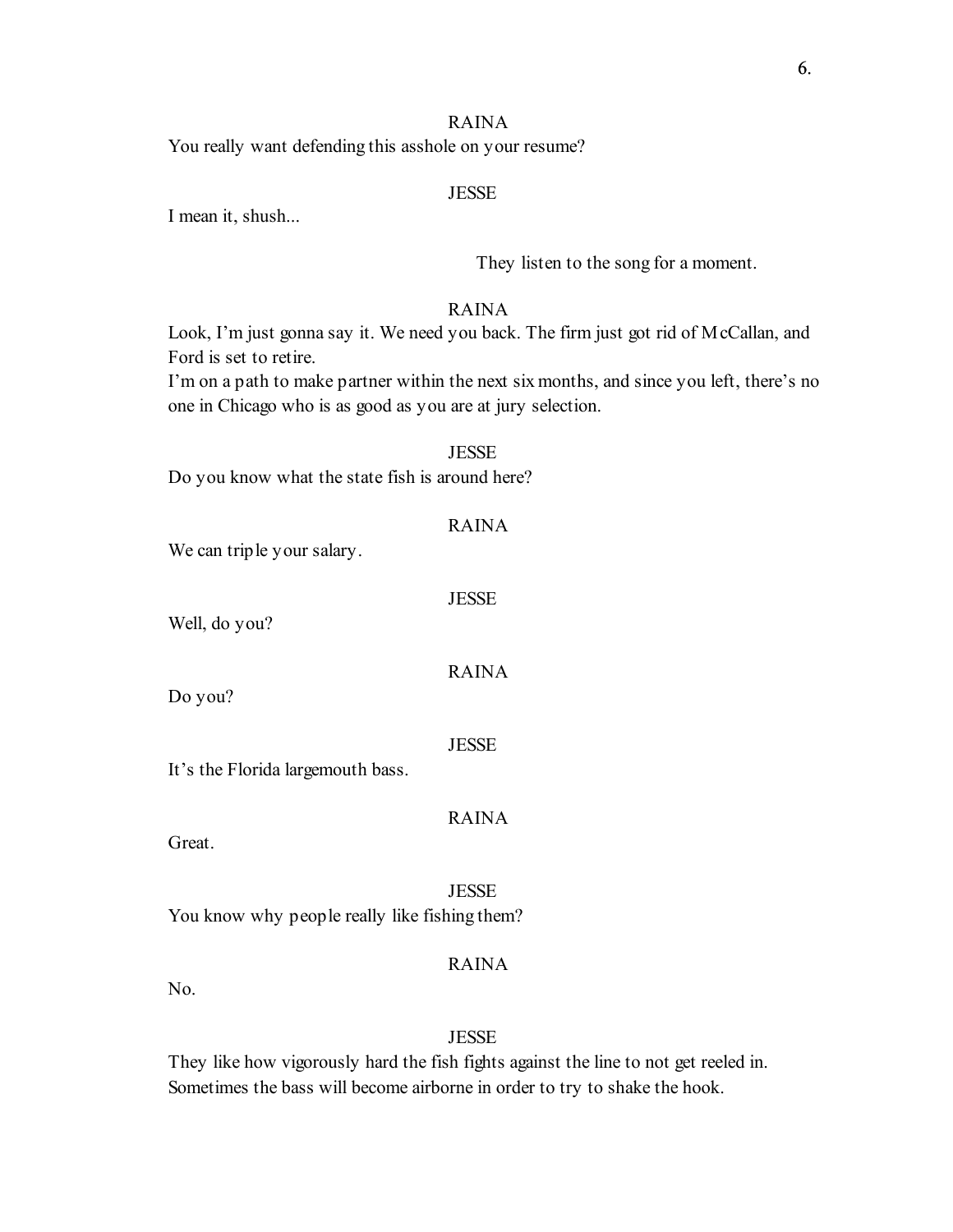You really want defending this asshole on your resume?

## **JESSE**

I mean it, shush...

They listen to the song for a moment.

## RAINA

Look, I'm just gonna say it. We need you back. The firm just got rid of McCallan, and Ford is set to retire.

I'm on a path to make partner within the next six months, and since you left, there's no one in Chicago who is as good as you are at jury selection.

#### **JESSE**

Do you know what the state fish is around here?

## RAINA

We can triple your salary.

#### JESSE

Well, do you?

RAINA

Do you?

JESSE

It's the Florida largemouth bass.

RAINA

Great.

**JESSE** You know why people really like fishing them?

## RAINA

No.

### **JESSE**

They like how vigorously hard the fish fights against the line to not get reeled in. Sometimes the bass will become airborne in order to try to shake the hook.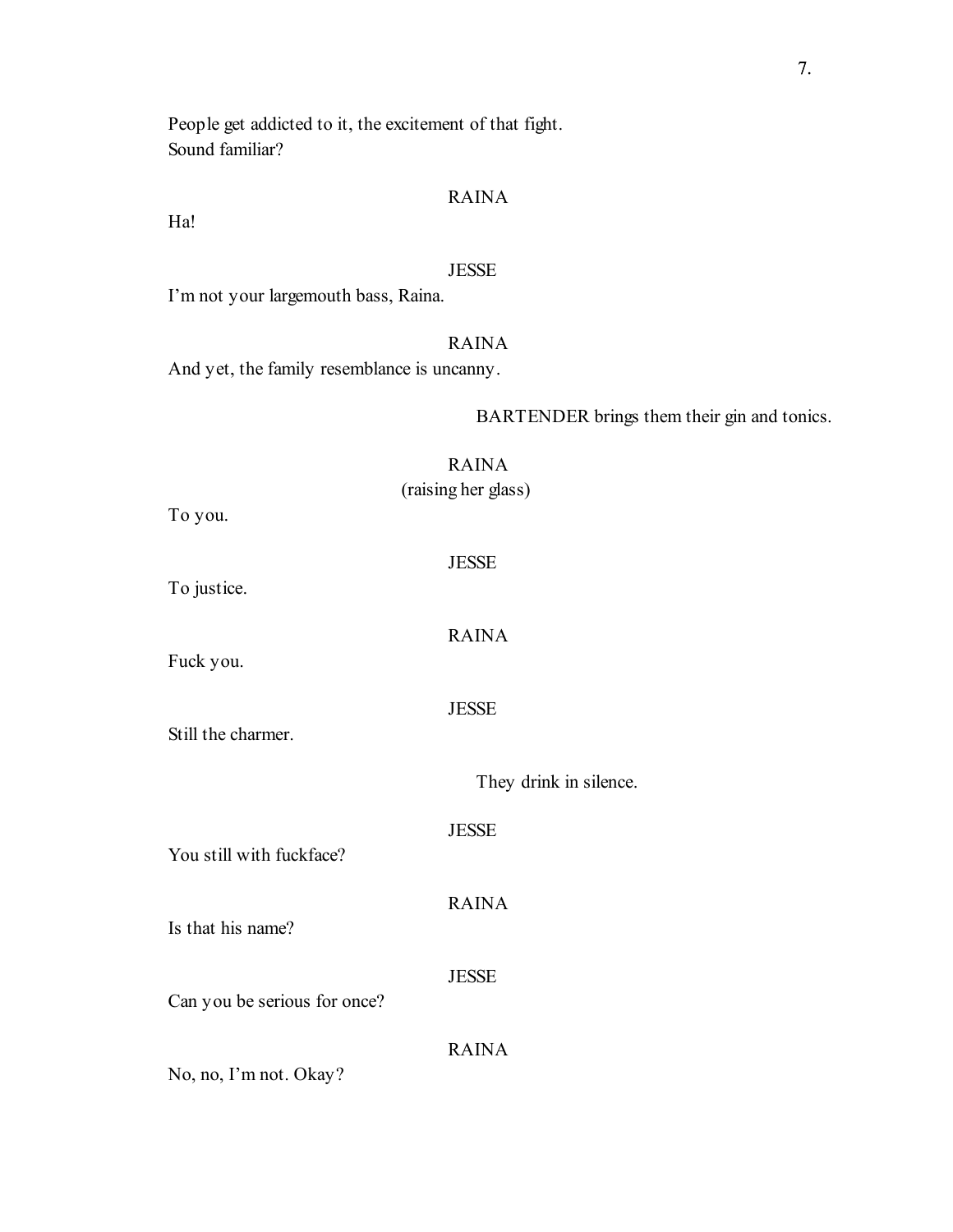People get addicted to it, the excitement of that fight. Sound familiar?

## RAINA

Ha!

### JESSE

I'm not your largemouth bass, Raina.

## RAINA

And yet, the family resemblance is uncanny.

BARTENDER brings them their gin and tonics.

## RAINA

(raising her glass)

To you.

JESSE

RAINA

To justice.

Fuck you.

JESSE

Still the charmer.

They drink in silence.

JESSE

RAINA

You still with fuckface?

Is that his name?

**JESSE** 

Can you be serious for once?

RAINA

No, no, I'm not. Okay?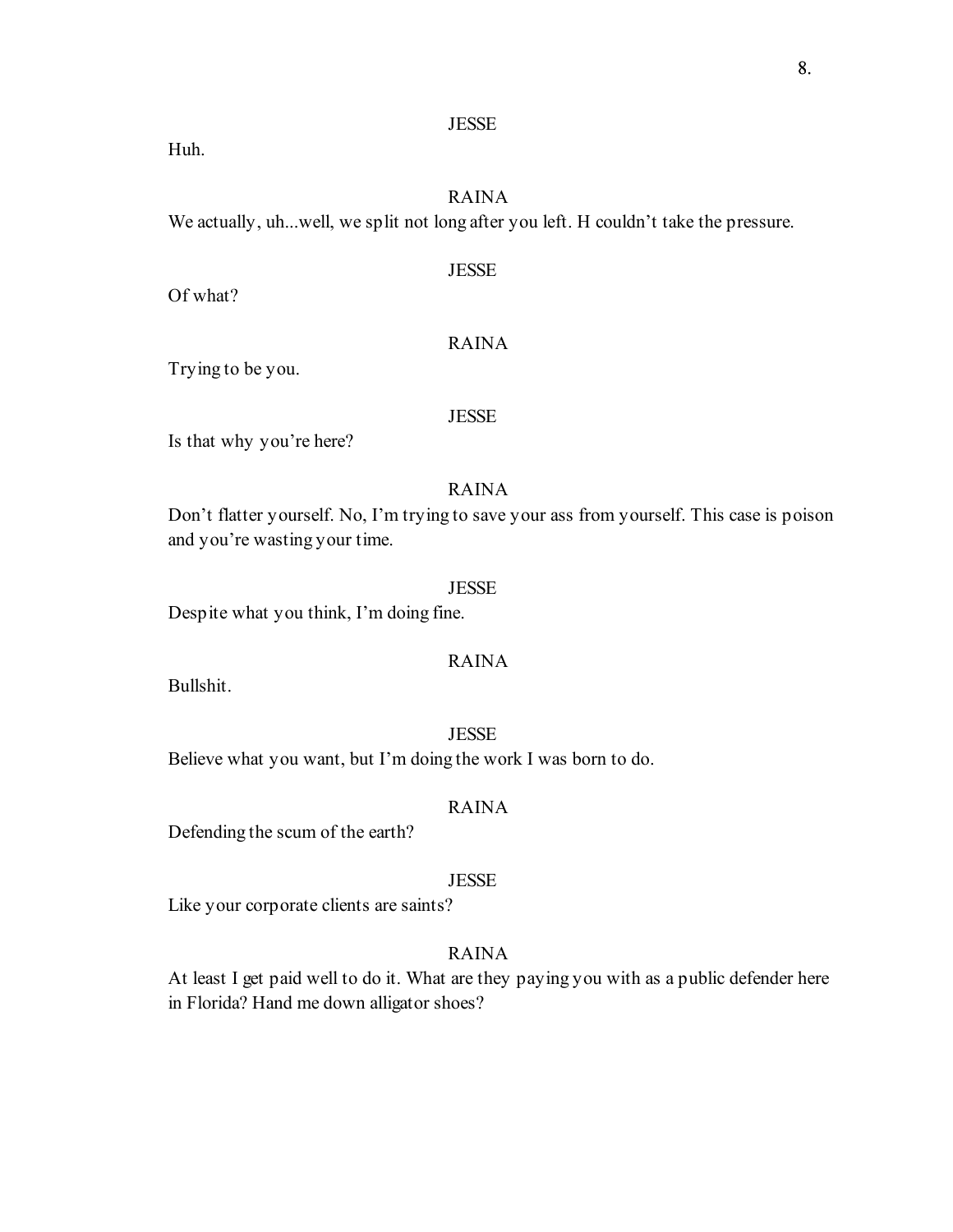### JESSE

Huh.

## RAINA

We actually, uh...well, we split not long after you left. H couldn't take the pressure.

## JESSE

Of what?

## RAINA

Trying to be you.

#### JESSE

Is that why you're here?

## RAINA

Don't flatter yourself. No, I'm trying to save your ass from yourself. This case is poison and you're wasting your time.

#### **JESSE**

Despite what you think, I'm doing fine.

## RAINA

Bullshit.

### **JESSE**

Believe what you want, but I'm doing the work I was born to do.

## RAINA

Defending the scum of the earth?

### JESSE

Like your corporate clients are saints?

## RAINA

At least I get paid well to do it. What are they paying you with as a public defender here in Florida? Hand me down alligator shoes?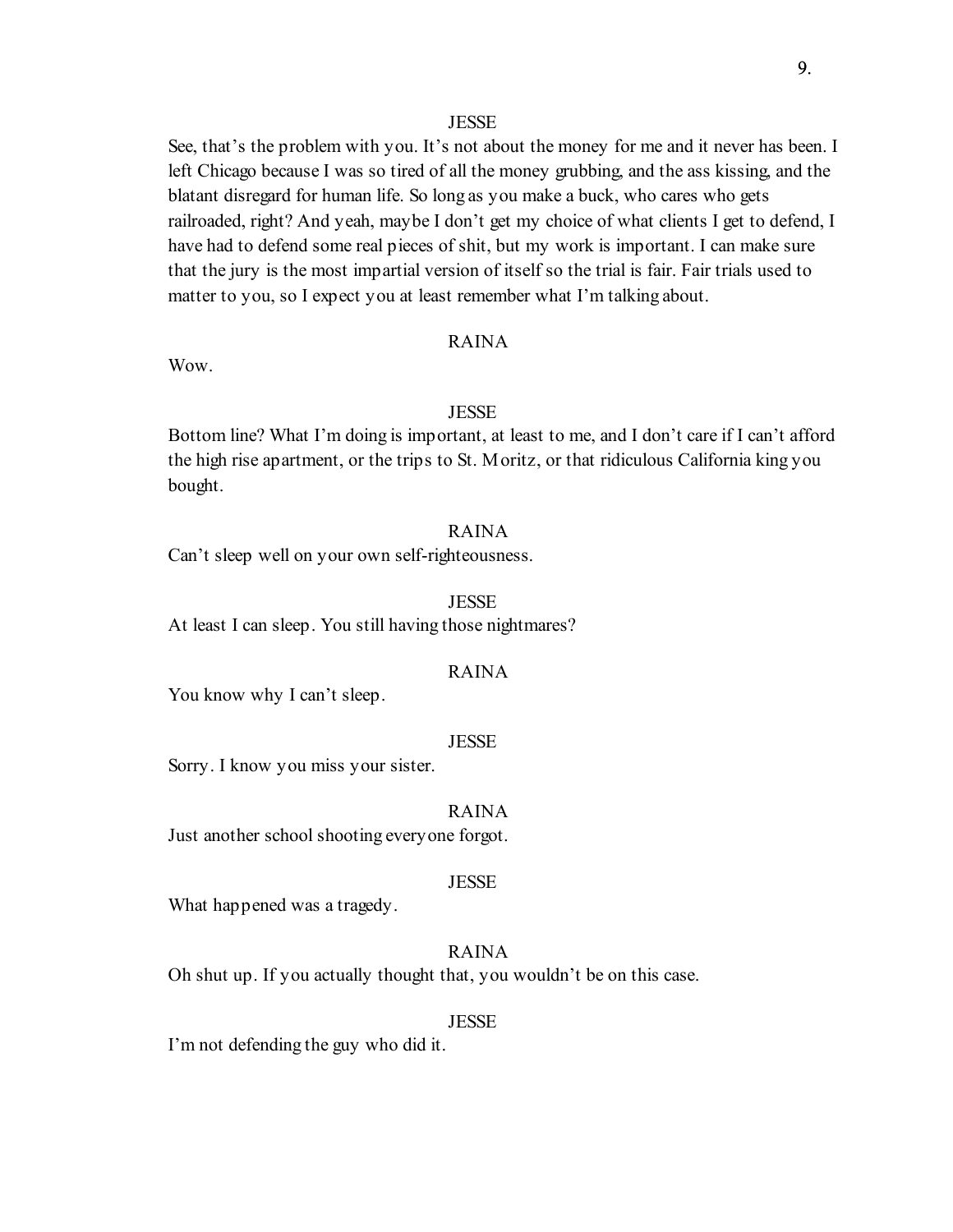#### **JESSE**

See, that's the problem with you. It's not about the money for me and it never has been. I left Chicago because I was so tired of all the money grubbing, and the ass kissing, and the blatant disregard for human life. So long as you make a buck, who cares who gets railroaded, right? And yeah, maybe I don't get my choice of what clients I get to defend, I have had to defend some real pieces of shit, but my work is important. I can make sure that the jury is the most impartial version of itself so the trial is fair. Fair trials used to matter to you, so I expect you at least remember what I'm talking about.

### RAINA

Wow.

### **JESSE**

Bottom line? What I'm doing is important, at least to me, and I don't care if I can't afford the high rise apartment, or the trips to St. Moritz, or that ridiculous California king you bought.

## RAINA

Can't sleep well on your own self-righteousness.

#### **JESSE**

At least I can sleep. You still having those nightmares?

## RAINA

You know why I can't sleep.

#### **JESSE**

Sorry. I know you miss your sister.

#### RAINA

Just another school shooting everyone forgot.

#### **JESSE**

What happened was a tragedy.

## RAINA

Oh shut up. If you actually thought that, you wouldn't be on this case.

#### **JESSE**

I'm not defending the guy who did it.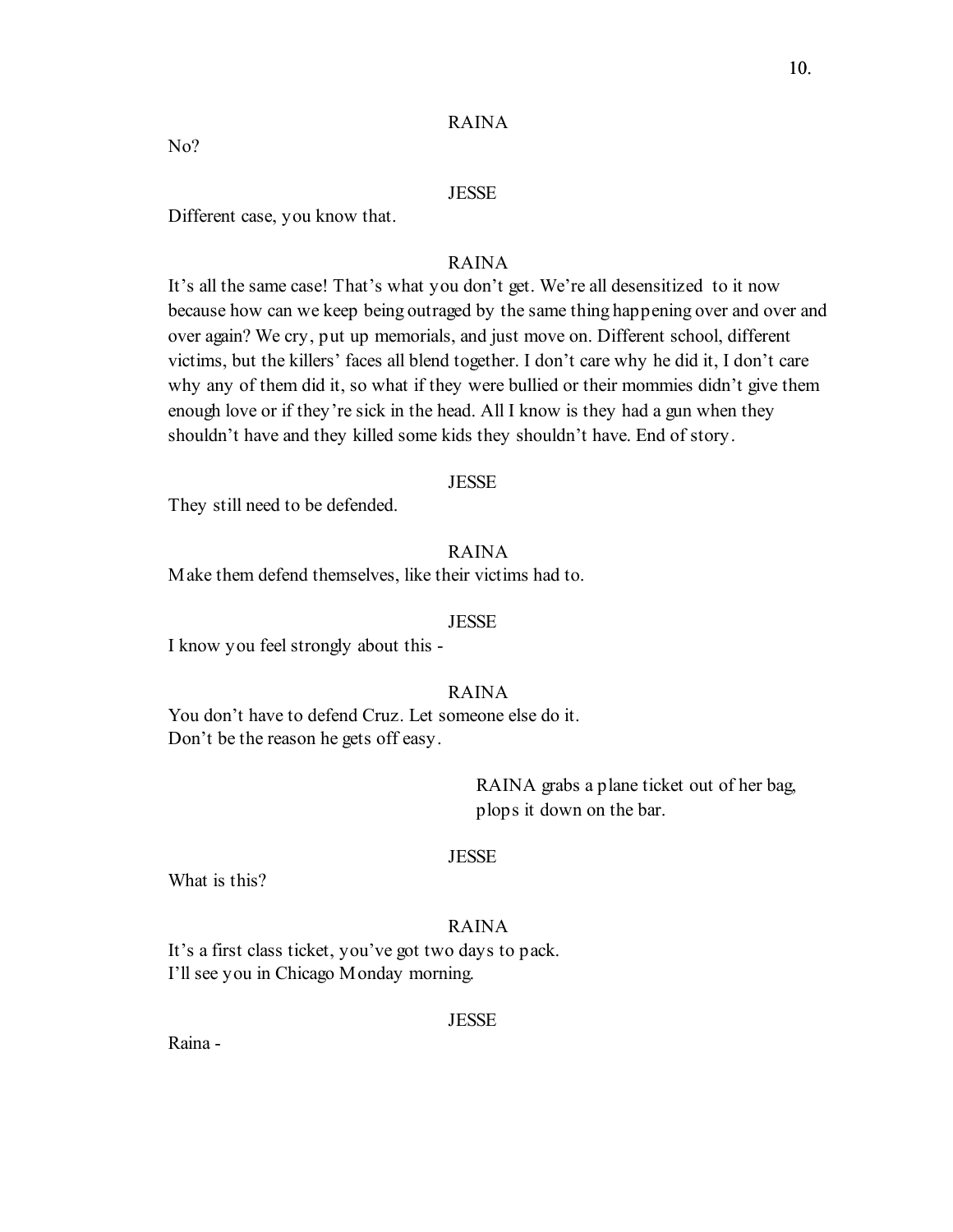#### **JESSE**

Different case, you know that.

### RAINA

It's all the same case! That's what you don't get. We're all desensitized to it now because how can we keep being outraged by the same thing happening over and over and over again? We cry, put up memorials, and just move on. Different school, different victims, but the killers' faces all blend together. I don't care why he did it, I don't care why any of them did it, so what if they were bullied or their mommies didn't give them enough love or if they're sick in the head. All I know is they had a gun when they shouldn't have and they killed some kids they shouldn't have. End of story.

#### **JESSE**

They still need to be defended.

## RAINA

Make them defend themselves, like their victims had to.

#### **JESSE**

I know you feel strongly about this -

### RAINA

You don't have to defend Cruz. Let someone else do it. Don't be the reason he gets off easy.

> RAINA grabs a plane ticket out of her bag, plops it down on the bar.

## **JESSE**

What is this?

## RAINA

It's a first class ticket, you've got two days to pack. I'll see you in Chicago Monday morning.

#### JESSE

Raina -

No?